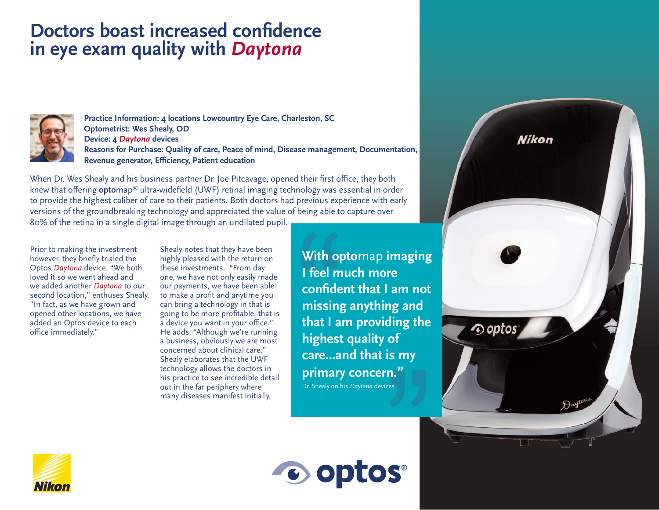## **Doctors boast increased confidence in eye exam quality with** *Daytona*



**Practice Information: 4 locations Lowcountry Eye Care, Charleston, SC Optometrist: Wes Shealy, OD Device: 4** *Daytona* **devices Reasons for Purchase: Quality of care, Peace of mind, Disease management, Documentation, Revenue generator, Efficiency, Patient education**

When Dr. Wes Shealy and his business partner Dr. Joe Pitcavage, opened their first office, they both knew that offering **opto**map® ultra-widefield (UWF) retinal imaging technology was essential in order to provide the highest caliber of care to their patients. Both doctors had previous experience with early versions of the groundbreaking technology and appreciated the value of being able to capture over 80% of the retina in a single digital image through an undilated pupil.

Prior to making the investment however, they briefly trialed the Optos *Daytona* device. "We both loved it so we went ahead and we added another *Daytona* to our second location," enthuses Shealy. "In fact, as we have grown and opened other locations, we have added an Optos device to each office immediately."

Shealy notes that they have been highly pleased with the return on these investments. "From day one, we have not only easily made our payments, we have been able to make a profit and anytime you can bring a technology in that is going to be more profitable, that is a device you want in your office." He adds, "Although we're running a business, obviously we are most concerned about clinical care." Shealy elaborates that the UWF technology allows the doctors in his practice to see incredible detail out in the far periphery where many diseases manifest initially.

**With opto**map **imaging I feel much more confident that I am not missing anything and that I am providing the highest quality of care...and that is my primary concern."** Dr. Shealy on his *Daytona* devices

**Nikon** 

∕⊙ optc



C optos